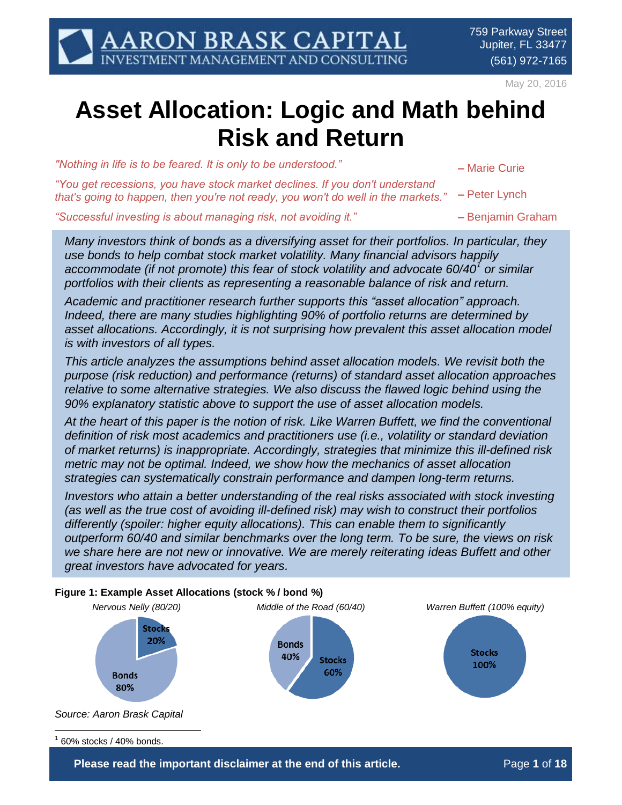May 20, 2016

# **Asset Allocation: Logic and Math behind Risk and Return**

*"Nothing in life is to be feared. It is only to be understood." –* Marie Curie

*"You get recessions, you have stock market declines. If you don't understand that's going to happen, then you're not ready, you won't do well in the markets." –* Peter Lynch

*"Successful investing is about managing risk, not avoiding it." –* Benjamin Graham

*Many investors think of bonds as a diversifying asset for their portfolios. In particular, they use bonds to help combat stock market volatility. Many financial advisors happily accommodate (if not promote) this fear of stock volatility and advocate 60/40<sup>1</sup> or similar portfolios with their clients as representing a reasonable balance of risk and return.*

*Academic and practitioner research further supports this "asset allocation" approach. Indeed, there are many studies highlighting 90% of portfolio returns are determined by asset allocations. Accordingly, it is not surprising how prevalent this asset allocation model is with investors of all types.*

*This article analyzes the assumptions behind asset allocation models. We revisit both the purpose (risk reduction) and performance (returns) of standard asset allocation approaches relative to some alternative strategies. We also discuss the flawed logic behind using the 90% explanatory statistic above to support the use of asset allocation models.*

*At the heart of this paper is the notion of risk. Like Warren Buffett, we find the conventional definition of risk most academics and practitioners use (i.e., volatility or standard deviation of market returns) is inappropriate. Accordingly, strategies that minimize this ill-defined risk metric may not be optimal. Indeed, we show how the mechanics of asset allocation strategies can systematically constrain performance and dampen long-term returns.*

*Investors who attain a better understanding of the real risks associated with stock investing (as well as the true cost of avoiding ill-defined risk) may wish to construct their portfolios differently (spoiler: higher equity allocations). This can enable them to significantly outperform 60/40 and similar benchmarks over the long term. To be sure, the views on risk we share here are not new or innovative. We are merely reiterating ideas Buffett and other great investors have advocated for years.*



**Please read the important disclaimer at the end of this article. The readed of 18**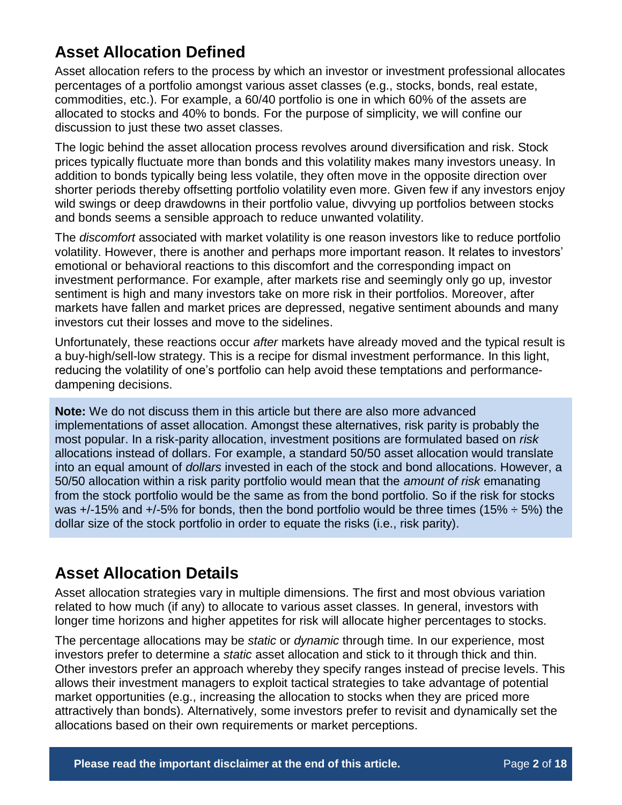## **Asset Allocation Defined**

Asset allocation refers to the process by which an investor or investment professional allocates percentages of a portfolio amongst various asset classes (e.g., stocks, bonds, real estate, commodities, etc.). For example, a 60/40 portfolio is one in which 60% of the assets are allocated to stocks and 40% to bonds. For the purpose of simplicity, we will confine our discussion to just these two asset classes.

The logic behind the asset allocation process revolves around diversification and risk. Stock prices typically fluctuate more than bonds and this volatility makes many investors uneasy. In addition to bonds typically being less volatile, they often move in the opposite direction over shorter periods thereby offsetting portfolio volatility even more. Given few if any investors enjoy wild swings or deep drawdowns in their portfolio value, divvying up portfolios between stocks and bonds seems a sensible approach to reduce unwanted volatility.

The *discomfort* associated with market volatility is one reason investors like to reduce portfolio volatility. However, there is another and perhaps more important reason. It relates to investors' emotional or behavioral reactions to this discomfort and the corresponding impact on investment performance. For example, after markets rise and seemingly only go up, investor sentiment is high and many investors take on more risk in their portfolios. Moreover, after markets have fallen and market prices are depressed, negative sentiment abounds and many investors cut their losses and move to the sidelines.

Unfortunately, these reactions occur *after* markets have already moved and the typical result is a buy-high/sell-low strategy. This is a recipe for dismal investment performance. In this light, reducing the volatility of one's portfolio can help avoid these temptations and performancedampening decisions.

**Note:** We do not discuss them in this article but there are also more advanced implementations of asset allocation. Amongst these alternatives, risk parity is probably the most popular. In a risk-parity allocation, investment positions are formulated based on *risk* allocations instead of dollars. For example, a standard 50/50 asset allocation would translate into an equal amount of *dollars* invested in each of the stock and bond allocations. However, a 50/50 allocation within a risk parity portfolio would mean that the *amount of risk* emanating from the stock portfolio would be the same as from the bond portfolio. So if the risk for stocks was  $+/-15\%$  and  $+/-5\%$  for bonds, then the bond portfolio would be three times (15%  $\div$  5%) the dollar size of the stock portfolio in order to equate the risks (i.e., risk parity).

## **Asset Allocation Details**

Asset allocation strategies vary in multiple dimensions. The first and most obvious variation related to how much (if any) to allocate to various asset classes. In general, investors with longer time horizons and higher appetites for risk will allocate higher percentages to stocks.

The percentage allocations may be *static* or *dynamic* through time. In our experience, most investors prefer to determine a *static* asset allocation and stick to it through thick and thin. Other investors prefer an approach whereby they specify ranges instead of precise levels. This allows their investment managers to exploit tactical strategies to take advantage of potential market opportunities (e.g., increasing the allocation to stocks when they are priced more attractively than bonds). Alternatively, some investors prefer to revisit and dynamically set the allocations based on their own requirements or market perceptions.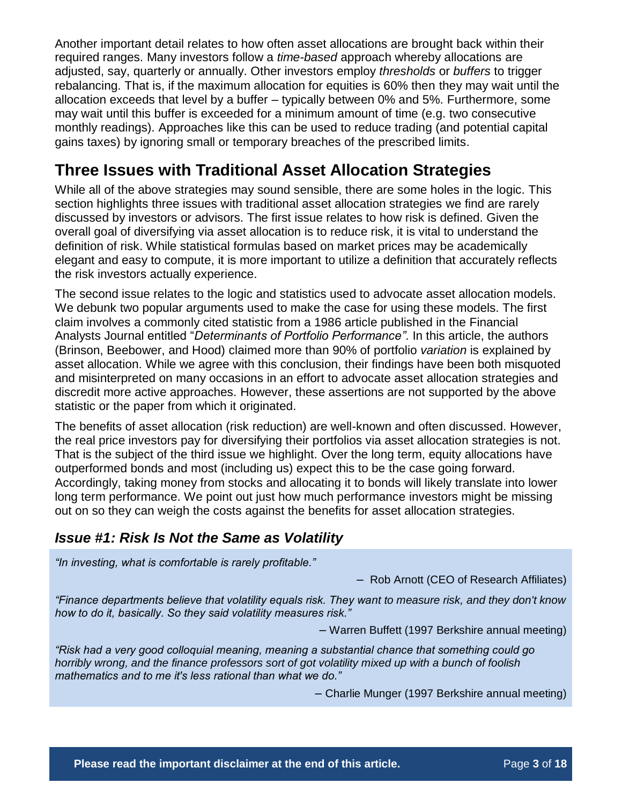Another important detail relates to how often asset allocations are brought back within their required ranges. Many investors follow a *time-based* approach whereby allocations are adjusted, say, quarterly or annually. Other investors employ *thresholds* or *buffers* to trigger rebalancing. That is, if the maximum allocation for equities is 60% then they may wait until the allocation exceeds that level by a buffer – typically between 0% and 5%. Furthermore, some may wait until this buffer is exceeded for a minimum amount of time (e.g. two consecutive monthly readings). Approaches like this can be used to reduce trading (and potential capital gains taxes) by ignoring small or temporary breaches of the prescribed limits.

## **Three Issues with Traditional Asset Allocation Strategies**

While all of the above strategies may sound sensible, there are some holes in the logic. This section highlights three issues with traditional asset allocation strategies we find are rarely discussed by investors or advisors. The first issue relates to how risk is defined. Given the overall goal of diversifying via asset allocation is to reduce risk, it is vital to understand the definition of risk. While statistical formulas based on market prices may be academically elegant and easy to compute, it is more important to utilize a definition that accurately reflects the risk investors actually experience.

The second issue relates to the logic and statistics used to advocate asset allocation models. We debunk two popular arguments used to make the case for using these models. The first claim involves a commonly cited statistic from a 1986 article published in the Financial Analysts Journal entitled "*Determinants of Portfolio Performance"*. In this article, the authors (Brinson, Beebower, and Hood) claimed more than 90% of portfolio *variation* is explained by asset allocation. While we agree with this conclusion, their findings have been both misquoted and misinterpreted on many occasions in an effort to advocate asset allocation strategies and discredit more active approaches. However, these assertions are not supported by the above statistic or the paper from which it originated.

The benefits of asset allocation (risk reduction) are well-known and often discussed. However, the real price investors pay for diversifying their portfolios via asset allocation strategies is not. That is the subject of the third issue we highlight. Over the long term, equity allocations have outperformed bonds and most (including us) expect this to be the case going forward. Accordingly, taking money from stocks and allocating it to bonds will likely translate into lower long term performance. We point out just how much performance investors might be missing out on so they can weigh the costs against the benefits for asset allocation strategies.

## *Issue #1: Risk Is Not the Same as Volatility*

*"In investing, what is comfortable is rarely profitable."*

– Rob Arnott (CEO of Research Affiliates)

*"Finance departments believe that volatility equals risk. They want to measure risk, and they don't know how to do it, basically. So they said volatility measures risk."*

– Warren Buffett (1997 Berkshire annual meeting)

*"Risk had a very good colloquial meaning, meaning a substantial chance that something could go horribly wrong, and the finance professors sort of got volatility mixed up with a bunch of foolish mathematics and to me it's less rational than what we do."*

– Charlie Munger (1997 Berkshire annual meeting)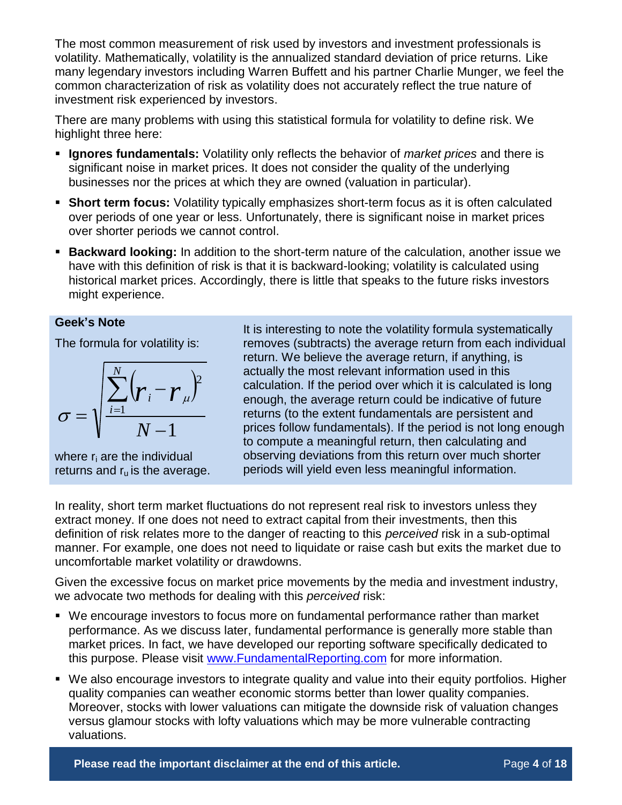The most common measurement of risk used by investors and investment professionals is volatility. Mathematically, volatility is the annualized standard deviation of price returns. Like many legendary investors including Warren Buffett and his partner Charlie Munger, we feel the common characterization of risk as volatility does not accurately reflect the true nature of investment risk experienced by investors.

There are many problems with using this statistical formula for volatility to define risk. We highlight three here:

- **Ignores fundamentals:** Volatility only reflects the behavior of *market prices* and there is significant noise in market prices. It does not consider the quality of the underlying businesses nor the prices at which they are owned (valuation in particular).
- **Short term focus:** Volatility typically emphasizes short-term focus as it is often calculated over periods of one year or less. Unfortunately, there is significant noise in market prices over shorter periods we cannot control.
- **Backward looking:** In addition to the short-term nature of the calculation, another issue we have with this definition of risk is that it is backward-looking; volatility is calculated using historical market prices. Accordingly, there is little that speaks to the future risks investors might experience.

#### **Geek's Note**

The formula for volatility is:

$$
\sigma = \sqrt{\frac{\sum_{i=1}^{N} (r_i - r_{\mu})^2}{N - 1}}
$$

where r<sub>i</sub> are the individual returns and  $r_u$  is the average.

It is interesting to note the volatility formula systematically removes (subtracts) the average return from each individual return. We believe the average return, if anything, is actually the most relevant information used in this calculation. If the period over which it is calculated is long enough, the average return could be indicative of future returns (to the extent fundamentals are persistent and prices follow fundamentals). If the period is not long enough to compute a meaningful return, then calculating and observing deviations from this return over much shorter periods will yield even less meaningful information.

In reality, short term market fluctuations do not represent real risk to investors unless they extract money. If one does not need to extract capital from their investments, then this definition of risk relates more to the danger of reacting to this *perceived* risk in a sub-optimal manner. For example, one does not need to liquidate or raise cash but exits the market due to uncomfortable market volatility or drawdowns.

Given the excessive focus on market price movements by the media and investment industry, we advocate two methods for dealing with this *perceived* risk:

- We encourage investors to focus more on fundamental performance rather than market performance. As we discuss later, fundamental performance is generally more stable than market prices. In fact, we have developed our reporting software specifically dedicated to this purpose. Please visit [www.FundamentalReporting.com](http://www.fundamentalreporting.com/) for more information.
- We also encourage investors to integrate quality and value into their equity portfolios. Higher quality companies can weather economic storms better than lower quality companies. Moreover, stocks with lower valuations can mitigate the downside risk of valuation changes versus glamour stocks with lofty valuations which may be more vulnerable contracting valuations.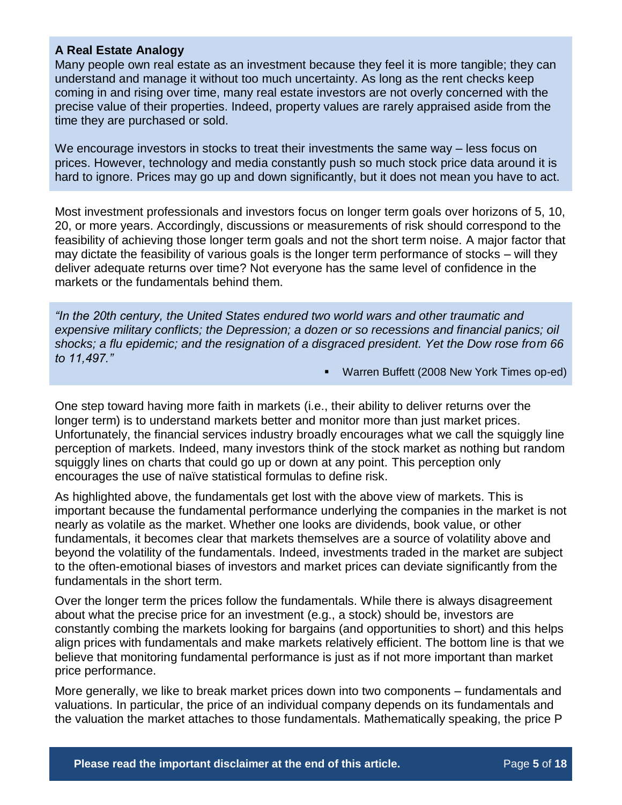### **A Real Estate Analogy**

Many people own real estate as an investment because they feel it is more tangible; they can understand and manage it without too much uncertainty. As long as the rent checks keep coming in and rising over time, many real estate investors are not overly concerned with the precise value of their properties. Indeed, property values are rarely appraised aside from the time they are purchased or sold.

We encourage investors in stocks to treat their investments the same way – less focus on prices. However, technology and media constantly push so much stock price data around it is hard to ignore. Prices may go up and down significantly, but it does not mean you have to act.

Most investment professionals and investors focus on longer term goals over horizons of 5, 10, 20, or more years. Accordingly, discussions or measurements of risk should correspond to the feasibility of achieving those longer term goals and not the short term noise. A major factor that may dictate the feasibility of various goals is the longer term performance of stocks – will they deliver adequate returns over time? Not everyone has the same level of confidence in the markets or the fundamentals behind them.

*"In the 20th century, the United States endured two world wars and other traumatic and expensive military conflicts; the Depression; a dozen or so recessions and financial panics; oil shocks; a flu epidemic; and the resignation of a disgraced president. Yet the Dow rose from 66 to 11,497."*

Warren Buffett (2008 New York Times op-ed)

One step toward having more faith in markets (i.e., their ability to deliver returns over the longer term) is to understand markets better and monitor more than just market prices. Unfortunately, the financial services industry broadly encourages what we call the squiggly line perception of markets. Indeed, many investors think of the stock market as nothing but random squiggly lines on charts that could go up or down at any point. This perception only encourages the use of naïve statistical formulas to define risk.

As highlighted above, the fundamentals get lost with the above view of markets. This is important because the fundamental performance underlying the companies in the market is not nearly as volatile as the market. Whether one looks are dividends, book value, or other fundamentals, it becomes clear that markets themselves are a source of volatility above and beyond the volatility of the fundamentals. Indeed, investments traded in the market are subject to the often-emotional biases of investors and market prices can deviate significantly from the fundamentals in the short term.

Over the longer term the prices follow the fundamentals. While there is always disagreement about what the precise price for an investment (e.g., a stock) should be, investors are constantly combing the markets looking for bargains (and opportunities to short) and this helps align prices with fundamentals and make markets relatively efficient. The bottom line is that we believe that monitoring fundamental performance is just as if not more important than market price performance.

More generally, we like to break market prices down into two components – fundamentals and valuations. In particular, the price of an individual company depends on its fundamentals and the valuation the market attaches to those fundamentals. Mathematically speaking, the price P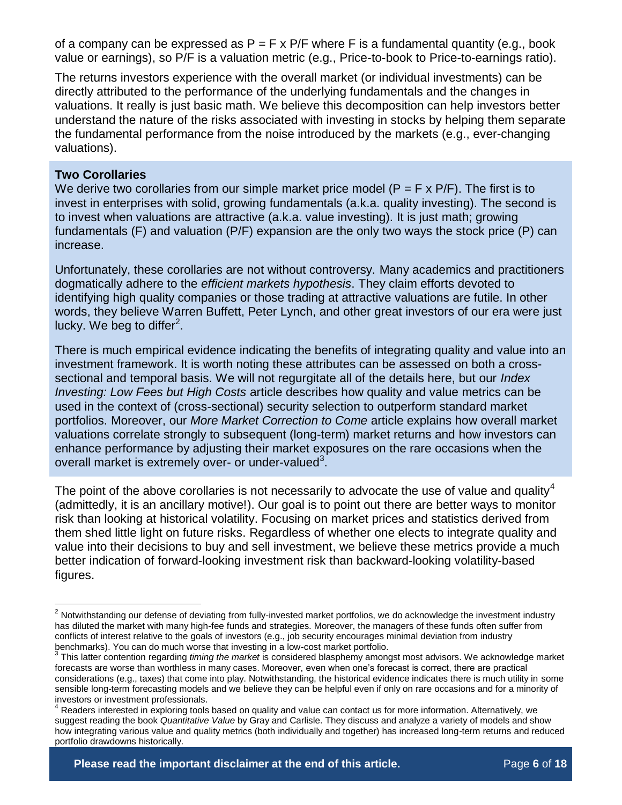of a company can be expressed as  $P = F \times P/F$  where F is a fundamental quantity (e.g., book value or earnings), so P/F is a valuation metric (e.g., Price-to-book to Price-to-earnings ratio).

The returns investors experience with the overall market (or individual investments) can be directly attributed to the performance of the underlying fundamentals and the changes in valuations. It really is just basic math. We believe this decomposition can help investors better understand the nature of the risks associated with investing in stocks by helping them separate the fundamental performance from the noise introduced by the markets (e.g., ever-changing valuations).

#### **Two Corollaries**

 $\overline{a}$ 

We derive two corollaries from our simple market price model ( $P = F \times P/F$ ). The first is to invest in enterprises with solid, growing fundamentals (a.k.a. quality investing). The second is to invest when valuations are attractive (a.k.a. value investing). It is just math; growing fundamentals (F) and valuation (P/F) expansion are the only two ways the stock price (P) can increase.

Unfortunately, these corollaries are not without controversy. Many academics and practitioners dogmatically adhere to the *efficient markets hypothesis*. They claim efforts devoted to identifying high quality companies or those trading at attractive valuations are futile. In other words, they believe Warren Buffett, Peter Lynch, and other great investors of our era were just lucky. We beg to differ $^2$ .

There is much empirical evidence indicating the benefits of integrating quality and value into an investment framework. It is worth noting these attributes can be assessed on both a crosssectional and temporal basis. We will not regurgitate all of the details here, but our *Index Investing: Low Fees but High Costs* article describes how quality and value metrics can be used in the context of (cross-sectional) security selection to outperform standard market portfolios. Moreover, our *More Market Correction to Come* article explains how overall market valuations correlate strongly to subsequent (long-term) market returns and how investors can enhance performance by adjusting their market exposures on the rare occasions when the overall market is extremely over- or under-valued<sup>3</sup>.

The point of the above corollaries is not necessarily to advocate the use of value and quality<sup>4</sup> (admittedly, it is an ancillary motive!). Our goal is to point out there are better ways to monitor risk than looking at historical volatility. Focusing on market prices and statistics derived from them shed little light on future risks. Regardless of whether one elects to integrate quality and value into their decisions to buy and sell investment, we believe these metrics provide a much better indication of forward-looking investment risk than backward-looking volatility-based figures.

<sup>&</sup>lt;sup>2</sup> Notwithstanding our defense of deviating from fully-invested market portfolios, we do acknowledge the investment industry has diluted the market with many high-fee funds and strategies. Moreover, the managers of these funds often suffer from conflicts of interest relative to the goals of investors (e.g., job security encourages minimal deviation from industry benchmarks). You can do much worse that investing in a low-cost market portfolio.

<sup>3</sup> This latter contention regarding *timing the market* is considered blasphemy amongst most advisors. We acknowledge market forecasts are worse than worthless in many cases. Moreover, even when one's forecast is correct, there are practical considerations (e.g., taxes) that come into play. Notwithstanding, the historical evidence indicates there is much utility in some sensible long-term forecasting models and we believe they can be helpful even if only on rare occasions and for a minority of investors or investment professionals.

<sup>4</sup> Readers interested in exploring tools based on quality and value can contact us for more information. Alternatively, we suggest reading the book *Quantitative Value* by Gray and Carlisle. They discuss and analyze a variety of models and show how integrating various value and quality metrics (both individually and together) has increased long-term returns and reduced portfolio drawdowns historically.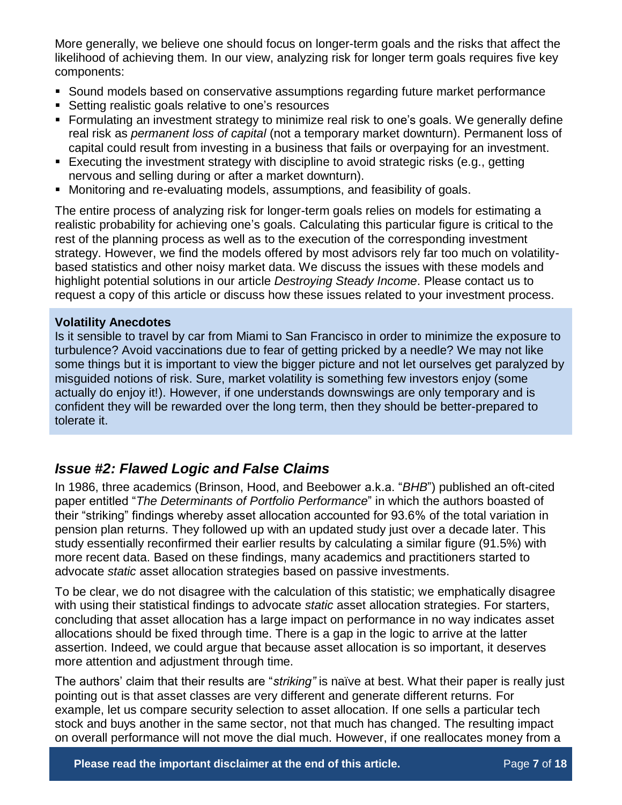More generally, we believe one should focus on longer-term goals and the risks that affect the likelihood of achieving them. In our view, analyzing risk for longer term goals requires five key components:

- Sound models based on conservative assumptions regarding future market performance
- Setting realistic goals relative to one's resources
- Formulating an investment strategy to minimize real risk to one's goals. We generally define real risk as *permanent loss of capital* (not a temporary market downturn). Permanent loss of capital could result from investing in a business that fails or overpaying for an investment.
- Executing the investment strategy with discipline to avoid strategic risks (e.g., getting nervous and selling during or after a market downturn).
- Monitoring and re-evaluating models, assumptions, and feasibility of goals.

The entire process of analyzing risk for longer-term goals relies on models for estimating a realistic probability for achieving one's goals. Calculating this particular figure is critical to the rest of the planning process as well as to the execution of the corresponding investment strategy. However, we find the models offered by most advisors rely far too much on volatilitybased statistics and other noisy market data. We discuss the issues with these models and highlight potential solutions in our article *Destroying Steady Income*. Please contact us to request a copy of this article or discuss how these issues related to your investment process.

### **Volatility Anecdotes**

Is it sensible to travel by car from Miami to San Francisco in order to minimize the exposure to turbulence? Avoid vaccinations due to fear of getting pricked by a needle? We may not like some things but it is important to view the bigger picture and not let ourselves get paralyzed by misguided notions of risk. Sure, market volatility is something few investors enjoy (some actually do enjoy it!). However, if one understands downswings are only temporary and is confident they will be rewarded over the long term, then they should be better-prepared to tolerate it.

## *Issue #2: Flawed Logic and False Claims*

In 1986, three academics (Brinson, Hood, and Beebower a.k.a. "*BHB*") published an oft-cited paper entitled "*The Determinants of Portfolio Performance*" in which the authors boasted of their "striking" findings whereby asset allocation accounted for 93.6% of the total variation in pension plan returns. They followed up with an updated study just over a decade later. This study essentially reconfirmed their earlier results by calculating a similar figure (91.5%) with more recent data. Based on these findings, many academics and practitioners started to advocate *static* asset allocation strategies based on passive investments.

To be clear, we do not disagree with the calculation of this statistic; we emphatically disagree with using their statistical findings to advocate *static* asset allocation strategies. For starters, concluding that asset allocation has a large impact on performance in no way indicates asset allocations should be fixed through time. There is a gap in the logic to arrive at the latter assertion. Indeed, we could argue that because asset allocation is so important, it deserves more attention and adjustment through time.

The authors' claim that their results are "*striking"* is naïve at best. What their paper is really just pointing out is that asset classes are very different and generate different returns. For example, let us compare security selection to asset allocation. If one sells a particular tech stock and buys another in the same sector, not that much has changed. The resulting impact on overall performance will not move the dial much. However, if one reallocates money from a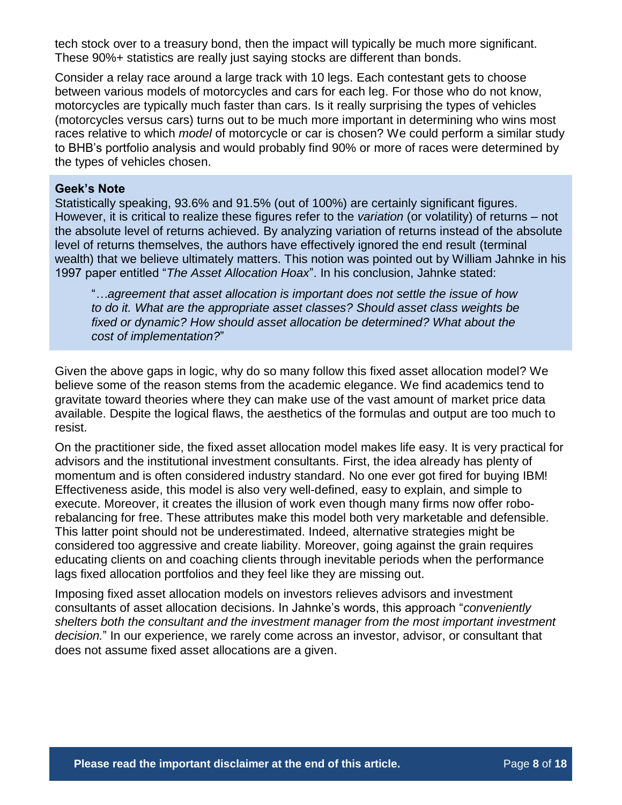tech stock over to a treasury bond, then the impact will typically be much more significant. These 90%+ statistics are really just saying stocks are different than bonds.

Consider a relay race around a large track with 10 legs. Each contestant gets to choose between various models of motorcycles and cars for each leg. For those who do not know, motorcycles are typically much faster than cars. Is it really surprising the types of vehicles (motorcycles versus cars) turns out to be much more important in determining who wins most races relative to which *model* of motorcycle or car is chosen? We could perform a similar study to BHB's portfolio analysis and would probably find 90% or more of races were determined by the types of vehicles chosen.

#### **Geek's Note**

Statistically speaking, 93.6% and 91.5% (out of 100%) are certainly significant figures. However, it is critical to realize these figures refer to the *variation* (or volatility) of returns – not the absolute level of returns achieved. By analyzing variation of returns instead of the absolute level of returns themselves, the authors have effectively ignored the end result (terminal wealth) that we believe ultimately matters. This notion was pointed out by William Jahnke in his 1997 paper entitled "*The Asset Allocation Hoax*". In his conclusion, Jahnke stated:

"*…agreement that asset allocation is important does not settle the issue of how to do it. What are the appropriate asset classes? Should asset class weights be fixed or dynamic? How should asset allocation be determined? What about the cost of implementation?*"

Given the above gaps in logic, why do so many follow this fixed asset allocation model? We believe some of the reason stems from the academic elegance. We find academics tend to gravitate toward theories where they can make use of the vast amount of market price data available. Despite the logical flaws, the aesthetics of the formulas and output are too much to resist.

On the practitioner side, the fixed asset allocation model makes life easy. It is very practical for advisors and the institutional investment consultants. First, the idea already has plenty of momentum and is often considered industry standard. No one ever got fired for buying IBM! Effectiveness aside, this model is also very well-defined, easy to explain, and simple to execute. Moreover, it creates the illusion of work even though many firms now offer roborebalancing for free. These attributes make this model both very marketable and defensible. This latter point should not be underestimated. Indeed, alternative strategies might be considered too aggressive and create liability. Moreover, going against the grain requires educating clients on and coaching clients through inevitable periods when the performance lags fixed allocation portfolios and they feel like they are missing out.

Imposing fixed asset allocation models on investors relieves advisors and investment consultants of asset allocation decisions. In Jahnke's words, this approach "*conveniently shelters both the consultant and the investment manager from the most important investment decision.*" In our experience, we rarely come across an investor, advisor, or consultant that does not assume fixed asset allocations are a given.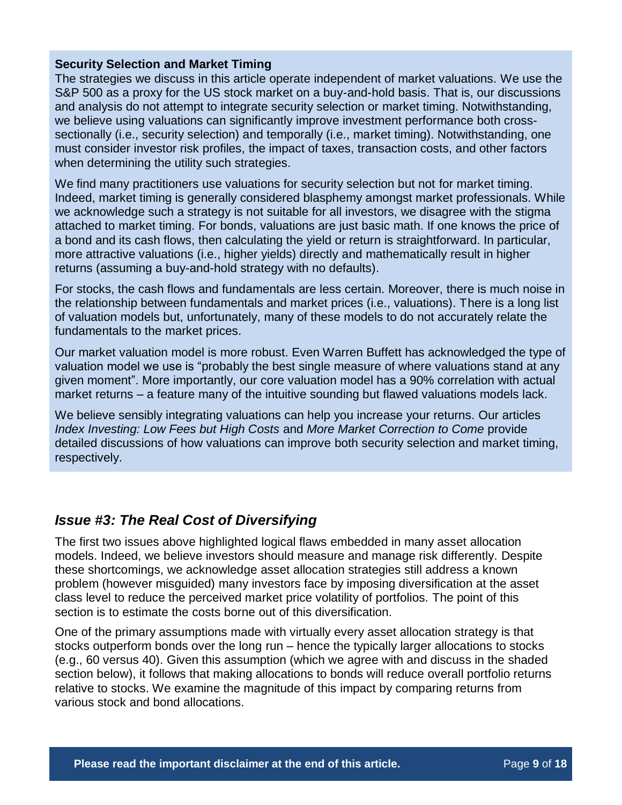### **Security Selection and Market Timing**

The strategies we discuss in this article operate independent of market valuations. We use the S&P 500 as a proxy for the US stock market on a buy-and-hold basis. That is, our discussions and analysis do not attempt to integrate security selection or market timing. Notwithstanding, we believe using valuations can significantly improve investment performance both crosssectionally (i.e., security selection) and temporally (i.e., market timing). Notwithstanding, one must consider investor risk profiles, the impact of taxes, transaction costs, and other factors when determining the utility such strategies.

We find many practitioners use valuations for security selection but not for market timing. Indeed, market timing is generally considered blasphemy amongst market professionals. While we acknowledge such a strategy is not suitable for all investors, we disagree with the stigma attached to market timing. For bonds, valuations are just basic math. If one knows the price of a bond and its cash flows, then calculating the yield or return is straightforward. In particular, more attractive valuations (i.e., higher yields) directly and mathematically result in higher returns (assuming a buy-and-hold strategy with no defaults).

For stocks, the cash flows and fundamentals are less certain. Moreover, there is much noise in the relationship between fundamentals and market prices (i.e., valuations). There is a long list of valuation models but, unfortunately, many of these models to do not accurately relate the fundamentals to the market prices.

Our market valuation model is more robust. Even Warren Buffett has acknowledged the type of valuation model we use is "probably the best single measure of where valuations stand at any given moment". More importantly, our core valuation model has a 90% correlation with actual market returns – a feature many of the intuitive sounding but flawed valuations models lack.

We believe sensibly integrating valuations can help you increase your returns. Our articles *Index Investing: Low Fees but High Costs* and *More Market Correction to Come* provide detailed discussions of how valuations can improve both security selection and market timing, respectively.

## *Issue #3: The Real Cost of Diversifying*

The first two issues above highlighted logical flaws embedded in many asset allocation models. Indeed, we believe investors should measure and manage risk differently. Despite these shortcomings, we acknowledge asset allocation strategies still address a known problem (however misguided) many investors face by imposing diversification at the asset class level to reduce the perceived market price volatility of portfolios. The point of this section is to estimate the costs borne out of this diversification.

One of the primary assumptions made with virtually every asset allocation strategy is that stocks outperform bonds over the long run – hence the typically larger allocations to stocks (e.g., 60 versus 40). Given this assumption (which we agree with and discuss in the shaded section below), it follows that making allocations to bonds will reduce overall portfolio returns relative to stocks. We examine the magnitude of this impact by comparing returns from various stock and bond allocations.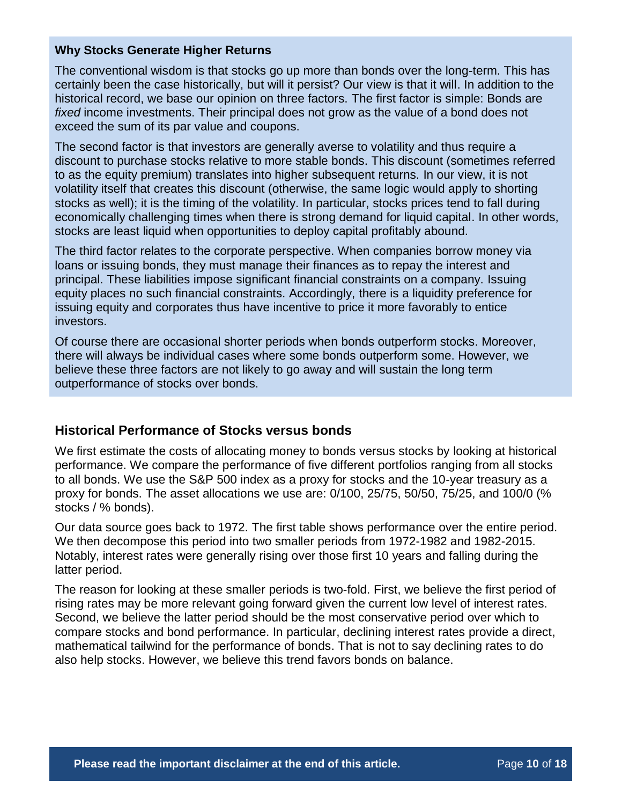### **Why Stocks Generate Higher Returns**

The conventional wisdom is that stocks go up more than bonds over the long-term. This has certainly been the case historically, but will it persist? Our view is that it will. In addition to the historical record, we base our opinion on three factors. The first factor is simple: Bonds are *fixed* income investments. Their principal does not grow as the value of a bond does not exceed the sum of its par value and coupons.

The second factor is that investors are generally averse to volatility and thus require a discount to purchase stocks relative to more stable bonds. This discount (sometimes referred to as the equity premium) translates into higher subsequent returns. In our view, it is not volatility itself that creates this discount (otherwise, the same logic would apply to shorting stocks as well); it is the timing of the volatility. In particular, stocks prices tend to fall during economically challenging times when there is strong demand for liquid capital. In other words, stocks are least liquid when opportunities to deploy capital profitably abound.

The third factor relates to the corporate perspective. When companies borrow money via loans or issuing bonds, they must manage their finances as to repay the interest and principal. These liabilities impose significant financial constraints on a company. Issuing equity places no such financial constraints. Accordingly, there is a liquidity preference for issuing equity and corporates thus have incentive to price it more favorably to entice investors.

Of course there are occasional shorter periods when bonds outperform stocks. Moreover, there will always be individual cases where some bonds outperform some. However, we believe these three factors are not likely to go away and will sustain the long term outperformance of stocks over bonds.

### **Historical Performance of Stocks versus bonds**

We first estimate the costs of allocating money to bonds versus stocks by looking at historical performance. We compare the performance of five different portfolios ranging from all stocks to all bonds. We use the S&P 500 index as a proxy for stocks and the 10-year treasury as a proxy for bonds. The asset allocations we use are: 0/100, 25/75, 50/50, 75/25, and 100/0 (% stocks / % bonds).

Our data source goes back to 1972. The first table shows performance over the entire period. We then decompose this period into two smaller periods from 1972-1982 and 1982-2015. Notably, interest rates were generally rising over those first 10 years and falling during the latter period.

The reason for looking at these smaller periods is two-fold. First, we believe the first period of rising rates may be more relevant going forward given the current low level of interest rates. Second, we believe the latter period should be the most conservative period over which to compare stocks and bond performance. In particular, declining interest rates provide a direct, mathematical tailwind for the performance of bonds. That is not to say declining rates to do also help stocks. However, we believe this trend favors bonds on balance.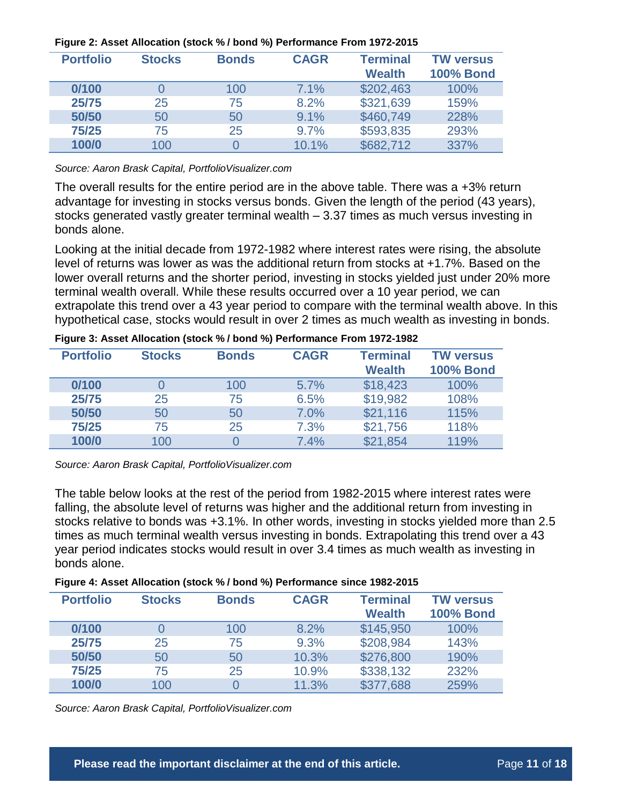| <b>Portfolio</b> | <b>Stocks</b> | <b>Bonds</b> | <b>CAGR</b> | <b>Terminal</b><br><b>Wealth</b> | <b>TW versus</b><br><b>100% Bond</b> |
|------------------|---------------|--------------|-------------|----------------------------------|--------------------------------------|
| 0/100            |               | 100          | 7.1%        | \$202,463                        | 100%                                 |
| 25/75            | 25            | 75           | 8.2%        | \$321,639                        | 159%                                 |
| 50/50            | 50            | 50           | 9.1%        | \$460,749                        | 228%                                 |
| 75/25            | 75            | 25           | 9.7%        | \$593,835                        | 293%                                 |
| 100/0            | 100           |              | 10.1%       | \$682,712                        | 337%                                 |

#### **Figure 2: Asset Allocation (stock % / bond %) Performance From 1972-2015**

*Source: Aaron Brask Capital, PortfolioVisualizer.com*

The overall results for the entire period are in the above table. There was a +3% return advantage for investing in stocks versus bonds. Given the length of the period (43 years), stocks generated vastly greater terminal wealth – 3.37 times as much versus investing in bonds alone.

Looking at the initial decade from 1972-1982 where interest rates were rising, the absolute level of returns was lower as was the additional return from stocks at +1.7%. Based on the lower overall returns and the shorter period, investing in stocks yielded just under 20% more terminal wealth overall. While these results occurred over a 10 year period, we can extrapolate this trend over a 43 year period to compare with the terminal wealth above. In this hypothetical case, stocks would result in over 2 times as much wealth as investing in bonds.

| <b>Portfolio</b> | <b>Stocks</b> | <b>Bonds</b> | <b>CAGR</b> | <b>Terminal</b><br><b>Wealth</b> | <b>TW versus</b><br><b>100% Bond</b> |
|------------------|---------------|--------------|-------------|----------------------------------|--------------------------------------|
| 0/100            |               | 100          | 5.7%        | \$18,423                         | 100%                                 |
| 25/75            | 25            | 75           | 6.5%        | \$19,982                         | 108%                                 |
| 50/50            | 50            | 50           | 7.0%        | \$21,116                         | 115%                                 |
| 75/25            | 75            | 25           | 7.3%        | \$21,756                         | 118%                                 |
| 100/0            | 100           |              | 7.4%        | \$21,854                         | 119%                                 |

**Figure 3: Asset Allocation (stock % / bond %) Performance From 1972-1982**

*Source: Aaron Brask Capital, PortfolioVisualizer.com*

The table below looks at the rest of the period from 1982-2015 where interest rates were falling, the absolute level of returns was higher and the additional return from investing in stocks relative to bonds was +3.1%. In other words, investing in stocks yielded more than 2.5 times as much terminal wealth versus investing in bonds. Extrapolating this trend over a 43 year period indicates stocks would result in over 3.4 times as much wealth as investing in bonds alone.

| Figure 4: Asset Allocation (stock % / bond %) Performance since 1982-2015 |  |  |
|---------------------------------------------------------------------------|--|--|
|                                                                           |  |  |

| <b>Portfolio</b> | <b>Stocks</b> | <b>Bonds</b> | <b>CAGR</b> | <b>Terminal</b><br><b>Wealth</b> | <b>TW versus</b><br><b>100% Bond</b> |
|------------------|---------------|--------------|-------------|----------------------------------|--------------------------------------|
| 0/100            | $\Omega$      | 100          | 8.2%        | \$145,950                        | 100%                                 |
| 25/75            | 25            | 75           | 9.3%        | \$208,984                        | 143%                                 |
| 50/50            | 50            | 50           | 10.3%       | \$276,800                        | 190%                                 |
| 75/25            | 75            | 25           | 10.9%       | \$338,132                        | 232%                                 |
| 100/0            | 100           |              | 11.3%       | \$377,688                        | 259%                                 |

*Source: Aaron Brask Capital, PortfolioVisualizer.com*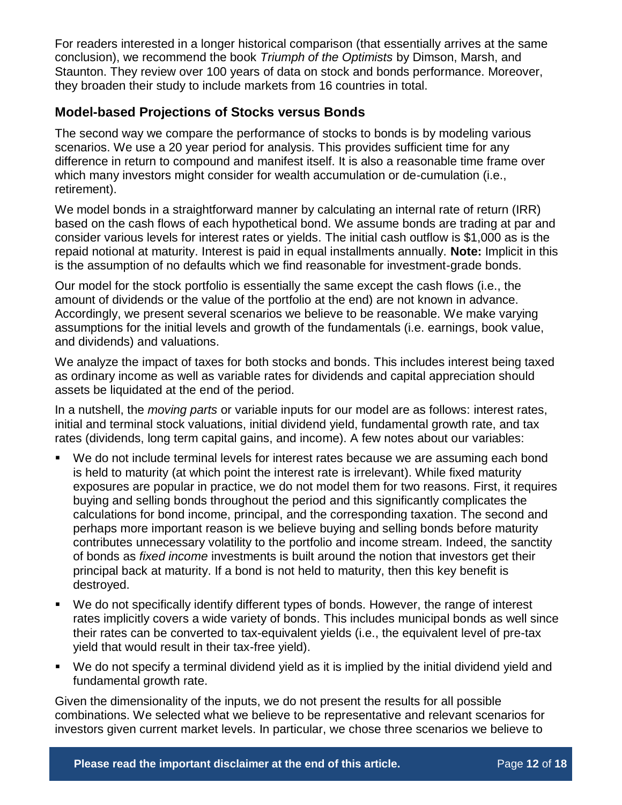For readers interested in a longer historical comparison (that essentially arrives at the same conclusion), we recommend the book *Triumph of the Optimists* by Dimson, Marsh, and Staunton. They review over 100 years of data on stock and bonds performance. Moreover, they broaden their study to include markets from 16 countries in total.

### **Model-based Projections of Stocks versus Bonds**

The second way we compare the performance of stocks to bonds is by modeling various scenarios. We use a 20 year period for analysis. This provides sufficient time for any difference in return to compound and manifest itself. It is also a reasonable time frame over which many investors might consider for wealth accumulation or de-cumulation (i.e., retirement).

We model bonds in a straightforward manner by calculating an internal rate of return (IRR) based on the cash flows of each hypothetical bond. We assume bonds are trading at par and consider various levels for interest rates or yields. The initial cash outflow is \$1,000 as is the repaid notional at maturity. Interest is paid in equal installments annually. **Note:** Implicit in this is the assumption of no defaults which we find reasonable for investment-grade bonds.

Our model for the stock portfolio is essentially the same except the cash flows (i.e., the amount of dividends or the value of the portfolio at the end) are not known in advance. Accordingly, we present several scenarios we believe to be reasonable. We make varying assumptions for the initial levels and growth of the fundamentals (i.e. earnings, book value, and dividends) and valuations.

We analyze the impact of taxes for both stocks and bonds. This includes interest being taxed as ordinary income as well as variable rates for dividends and capital appreciation should assets be liquidated at the end of the period.

In a nutshell, the *moving parts* or variable inputs for our model are as follows: interest rates, initial and terminal stock valuations, initial dividend yield, fundamental growth rate, and tax rates (dividends, long term capital gains, and income). A few notes about our variables:

- We do not include terminal levels for interest rates because we are assuming each bond is held to maturity (at which point the interest rate is irrelevant). While fixed maturity exposures are popular in practice, we do not model them for two reasons. First, it requires buying and selling bonds throughout the period and this significantly complicates the calculations for bond income, principal, and the corresponding taxation. The second and perhaps more important reason is we believe buying and selling bonds before maturity contributes unnecessary volatility to the portfolio and income stream. Indeed, the sanctity of bonds as *fixed income* investments is built around the notion that investors get their principal back at maturity. If a bond is not held to maturity, then this key benefit is destroyed.
- We do not specifically identify different types of bonds. However, the range of interest rates implicitly covers a wide variety of bonds. This includes municipal bonds as well since their rates can be converted to tax-equivalent yields (i.e., the equivalent level of pre-tax yield that would result in their tax-free yield).
- We do not specify a terminal dividend yield as it is implied by the initial dividend yield and fundamental growth rate.

Given the dimensionality of the inputs, we do not present the results for all possible combinations. We selected what we believe to be representative and relevant scenarios for investors given current market levels. In particular, we chose three scenarios we believe to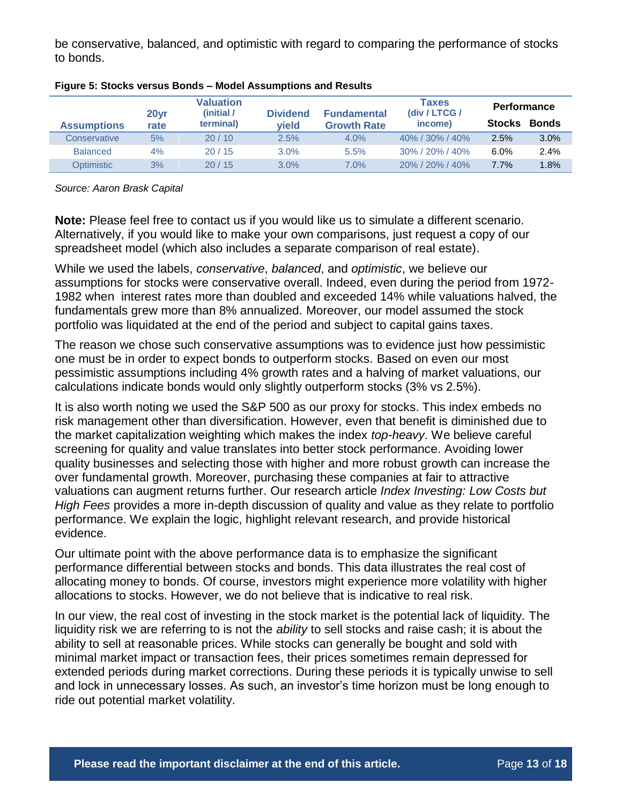be conservative, balanced, and optimistic with regard to comparing the performance of stocks to bonds.

| <b>Assumptions</b> | 20yr<br>rate | Valuation<br>(initial /<br>terminal) |      | <b>Fundamental</b><br><b>Growth Rate</b> | <b>Taxes</b><br><b>Performance</b><br>(div / LTCG /<br><b>Stocks</b><br>income) |         | <b>Bonds</b> |
|--------------------|--------------|--------------------------------------|------|------------------------------------------|---------------------------------------------------------------------------------|---------|--------------|
| Conservative       | 5%           | 20/10                                | 2.5% | 4.0%                                     | $40\%$ / 30% / 40%                                                              | 2.5%    | 3.0%         |
| <b>Balanced</b>    | 4%           | 20/15                                | 3.0% | 5.5%                                     | 30% / 20% / 40%                                                                 | $6.0\%$ | 2.4%         |
| Optimistic         | 3%           | 20/15                                | 3.0% | $7.0\%$                                  | 20% / 20% / 40%                                                                 | 7.7%    | 1.8%         |

| Figure 5: Stocks versus Bonds - Model Assumptions and Results |  |  |  |  |
|---------------------------------------------------------------|--|--|--|--|
|                                                               |  |  |  |  |

*Source: Aaron Brask Capital*

**Note:** Please feel free to contact us if you would like us to simulate a different scenario. Alternatively, if you would like to make your own comparisons, just request a copy of our spreadsheet model (which also includes a separate comparison of real estate).

While we used the labels, *conservative*, *balanced*, and *optimistic*, we believe our assumptions for stocks were conservative overall. Indeed, even during the period from 1972- 1982 when interest rates more than doubled and exceeded 14% while valuations halved, the fundamentals grew more than 8% annualized. Moreover, our model assumed the stock portfolio was liquidated at the end of the period and subject to capital gains taxes.

The reason we chose such conservative assumptions was to evidence just how pessimistic one must be in order to expect bonds to outperform stocks. Based on even our most pessimistic assumptions including 4% growth rates and a halving of market valuations, our calculations indicate bonds would only slightly outperform stocks (3% vs 2.5%).

It is also worth noting we used the S&P 500 as our proxy for stocks. This index embeds no risk management other than diversification. However, even that benefit is diminished due to the market capitalization weighting which makes the index *top-heavy*. We believe careful screening for quality and value translates into better stock performance. Avoiding lower quality businesses and selecting those with higher and more robust growth can increase the over fundamental growth. Moreover, purchasing these companies at fair to attractive valuations can augment returns further. Our research article *Index Investing: Low Costs but High Fees* provides a more in-depth discussion of quality and value as they relate to portfolio performance. We explain the logic, highlight relevant research, and provide historical evidence.

Our ultimate point with the above performance data is to emphasize the significant performance differential between stocks and bonds. This data illustrates the real cost of allocating money to bonds. Of course, investors might experience more volatility with higher allocations to stocks. However, we do not believe that is indicative to real risk.

In our view, the real cost of investing in the stock market is the potential lack of liquidity. The liquidity risk we are referring to is not the *ability* to sell stocks and raise cash; it is about the ability to sell at reasonable prices. While stocks can generally be bought and sold with minimal market impact or transaction fees, their prices sometimes remain depressed for extended periods during market corrections. During these periods it is typically unwise to sell and lock in unnecessary losses. As such, an investor's time horizon must be long enough to ride out potential market volatility.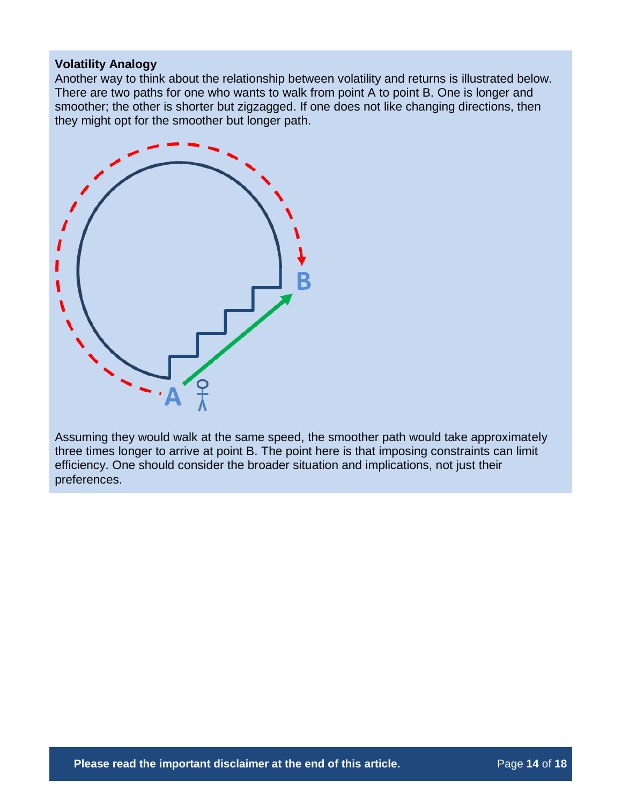### **Volatility Analogy**

Another way to think about the relationship between volatility and returns is illustrated below. There are two paths for one who wants to walk from point A to point B. One is longer and smoother; the other is shorter but zigzagged. If one does not like changing directions, then they might opt for the smoother but longer path.



Assuming they would walk at the same speed, the smoother path would take approximately three times longer to arrive at point B. The point here is that imposing constraints can limit efficiency. One should consider the broader situation and implications, not just their preferences.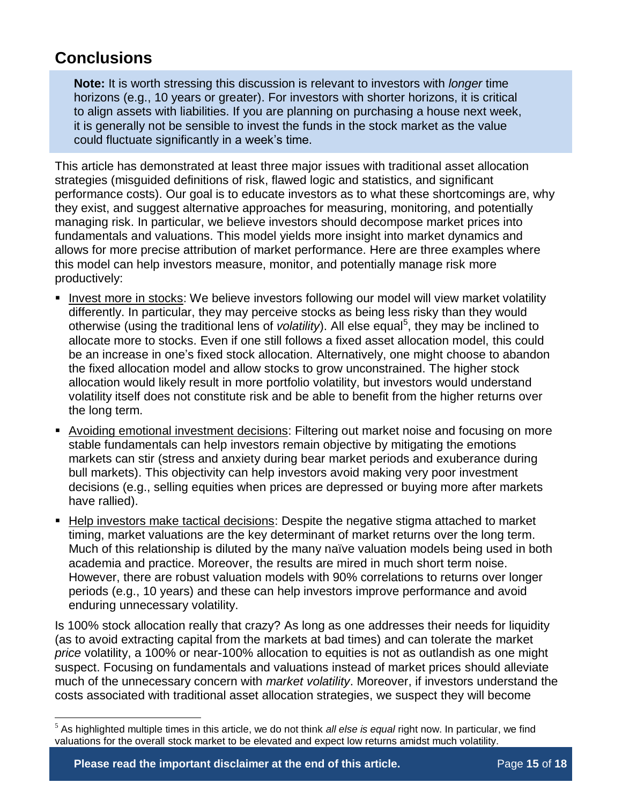## **Conclusions**

 $\overline{a}$ 

**Note:** It is worth stressing this discussion is relevant to investors with *longer* time horizons (e.g., 10 years or greater). For investors with shorter horizons, it is critical to align assets with liabilities. If you are planning on purchasing a house next week, it is generally not be sensible to invest the funds in the stock market as the value could fluctuate significantly in a week's time.

This article has demonstrated at least three major issues with traditional asset allocation strategies (misguided definitions of risk, flawed logic and statistics, and significant performance costs). Our goal is to educate investors as to what these shortcomings are, why they exist, and suggest alternative approaches for measuring, monitoring, and potentially managing risk. In particular, we believe investors should decompose market prices into fundamentals and valuations. This model yields more insight into market dynamics and allows for more precise attribution of market performance. Here are three examples where this model can help investors measure, monitor, and potentially manage risk more productively:

- **Invest more in stocks: We believe investors following our model will view market volatility** differently. In particular, they may perceive stocks as being less risky than they would otherwise (using the traditional lens of *volatility*). All else equal<sup>5</sup>, they may be inclined to allocate more to stocks. Even if one still follows a fixed asset allocation model, this could be an increase in one's fixed stock allocation. Alternatively, one might choose to abandon the fixed allocation model and allow stocks to grow unconstrained. The higher stock allocation would likely result in more portfolio volatility, but investors would understand volatility itself does not constitute risk and be able to benefit from the higher returns over the long term.
- Avoiding emotional investment decisions: Filtering out market noise and focusing on more stable fundamentals can help investors remain objective by mitigating the emotions markets can stir (stress and anxiety during bear market periods and exuberance during bull markets). This objectivity can help investors avoid making very poor investment decisions (e.g., selling equities when prices are depressed or buying more after markets have rallied).
- Help investors make tactical decisions: Despite the negative stigma attached to market timing, market valuations are the key determinant of market returns over the long term. Much of this relationship is diluted by the many naïve valuation models being used in both academia and practice. Moreover, the results are mired in much short term noise. However, there are robust valuation models with 90% correlations to returns over longer periods (e.g., 10 years) and these can help investors improve performance and avoid enduring unnecessary volatility.

Is 100% stock allocation really that crazy? As long as one addresses their needs for liquidity (as to avoid extracting capital from the markets at bad times) and can tolerate the market *price* volatility, a 100% or near-100% allocation to equities is not as outlandish as one might suspect. Focusing on fundamentals and valuations instead of market prices should alleviate much of the unnecessary concern with *market volatility*. Moreover, if investors understand the costs associated with traditional asset allocation strategies, we suspect they will become

<sup>5</sup> As highlighted multiple times in this article, we do not think *all else is equal* right now. In particular, we find valuations for the overall stock market to be elevated and expect low returns amidst much volatility.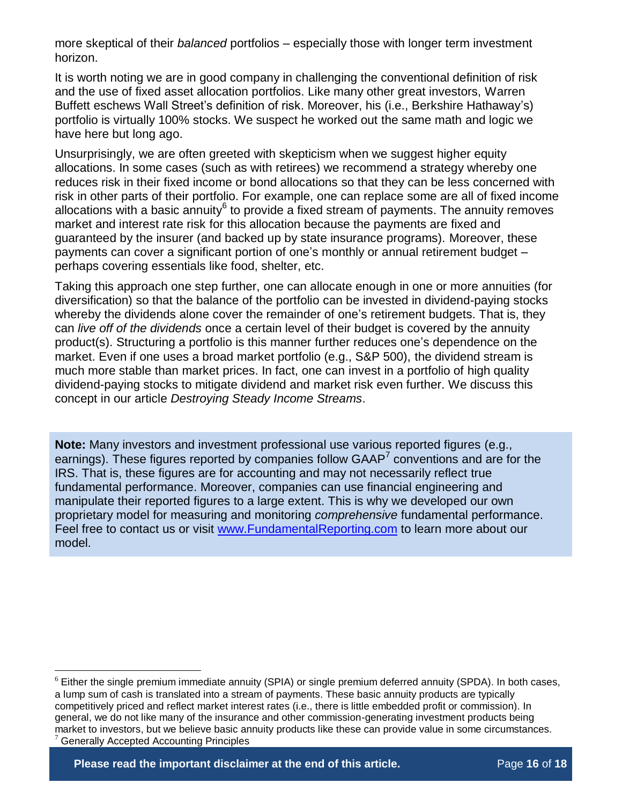more skeptical of their *balanced* portfolios – especially those with longer term investment horizon.

It is worth noting we are in good company in challenging the conventional definition of risk and the use of fixed asset allocation portfolios. Like many other great investors, Warren Buffett eschews Wall Street's definition of risk. Moreover, his (i.e., Berkshire Hathaway's) portfolio is virtually 100% stocks. We suspect he worked out the same math and logic we have here but long ago.

Unsurprisingly, we are often greeted with skepticism when we suggest higher equity allocations. In some cases (such as with retirees) we recommend a strategy whereby one reduces risk in their fixed income or bond allocations so that they can be less concerned with risk in other parts of their portfolio. For example, one can replace some are all of fixed income allocations with a basic annuity<sup>6</sup> to provide a fixed stream of payments. The annuity removes market and interest rate risk for this allocation because the payments are fixed and guaranteed by the insurer (and backed up by state insurance programs). Moreover, these payments can cover a significant portion of one's monthly or annual retirement budget – perhaps covering essentials like food, shelter, etc.

Taking this approach one step further, one can allocate enough in one or more annuities (for diversification) so that the balance of the portfolio can be invested in dividend-paying stocks whereby the dividends alone cover the remainder of one's retirement budgets. That is, they can *live off of the dividends* once a certain level of their budget is covered by the annuity product(s). Structuring a portfolio is this manner further reduces one's dependence on the market. Even if one uses a broad market portfolio (e.g., S&P 500), the dividend stream is much more stable than market prices. In fact, one can invest in a portfolio of high quality dividend-paying stocks to mitigate dividend and market risk even further. We discuss this concept in our article *Destroying Steady Income Streams*.

**Note:** Many investors and investment professional use various reported figures (e.g., earnings). These figures reported by companies follow  $GAAP<sup>7</sup>$  conventions and are for the IRS. That is, these figures are for accounting and may not necessarily reflect true fundamental performance. Moreover, companies can use financial engineering and manipulate their reported figures to a large extent. This is why we developed our own proprietary model for measuring and monitoring *comprehensive* fundamental performance. Feel free to contact us or visit [www.FundamentalReporting.com](http://www.fundamentalreporting.com/) to learn more about our model.

 $\overline{a}$ 

 $6$  Either the single premium immediate annuity (SPIA) or single premium deferred annuity (SPDA). In both cases, a lump sum of cash is translated into a stream of payments. These basic annuity products are typically competitively priced and reflect market interest rates (i.e., there is little embedded profit or commission). In general, we do not like many of the insurance and other commission-generating investment products being market to investors, but we believe basic annuity products like these can provide value in some circumstances. <sup>7</sup> Generally Accepted Accounting Principles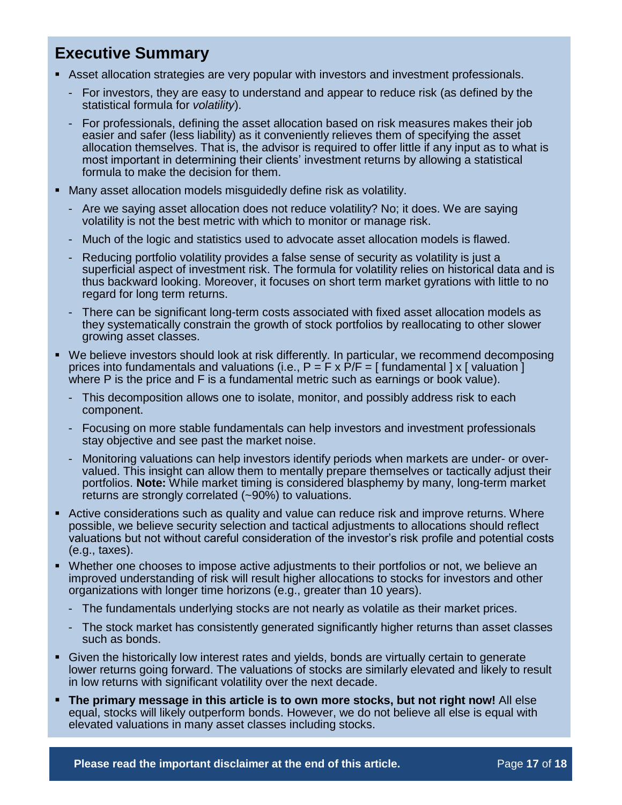## **Executive Summary**

- Asset allocation strategies are very popular with investors and investment professionals.
	- For investors, they are easy to understand and appear to reduce risk (as defined by the statistical formula for *volatility*).
	- For professionals, defining the asset allocation based on risk measures makes their job easier and safer (less liability) as it conveniently relieves them of specifying the asset allocation themselves. That is, the advisor is required to offer little if any input as to what is most important in determining their clients' investment returns by allowing a statistical formula to make the decision for them.
- Many asset allocation models misguidedly define risk as volatility.
	- Are we saying asset allocation does not reduce volatility? No; it does. We are saying volatility is not the best metric with which to monitor or manage risk.
	- Much of the logic and statistics used to advocate asset allocation models is flawed.
	- Reducing portfolio volatility provides a false sense of security as volatility is just a superficial aspect of investment risk. The formula for volatility relies on historical data and is thus backward looking. Moreover, it focuses on short term market gyrations with little to no regard for long term returns.
	- There can be significant long-term costs associated with fixed asset allocation models as they systematically constrain the growth of stock portfolios by reallocating to other slower growing asset classes.
- We believe investors should look at risk differently. In particular, we recommend decomposing prices into fundamentals and valuations (i.e.,  $P = F \times P/F = \int$  fundamental  $\vert x \vert$  valuation  $\vert$ where P is the price and F is a fundamental metric such as earnings or book value).
	- This decomposition allows one to isolate, monitor, and possibly address risk to each component.
	- Focusing on more stable fundamentals can help investors and investment professionals stay objective and see past the market noise.
	- Monitoring valuations can help investors identify periods when markets are under- or overvalued. This insight can allow them to mentally prepare themselves or tactically adjust their portfolios. **Note:** While market timing is considered blasphemy by many, long-term market returns are strongly correlated (~90%) to valuations.
- Active considerations such as quality and value can reduce risk and improve returns. Where possible, we believe security selection and tactical adjustments to allocations should reflect valuations but not without careful consideration of the investor's risk profile and potential costs (e.g., taxes).
- Whether one chooses to impose active adjustments to their portfolios or not, we believe an improved understanding of risk will result higher allocations to stocks for investors and other organizations with longer time horizons (e.g., greater than 10 years).
	- The fundamentals underlying stocks are not nearly as volatile as their market prices.
	- The stock market has consistently generated significantly higher returns than asset classes such as bonds.
- Given the historically low interest rates and yields, bonds are virtually certain to generate lower returns going forward. The valuations of stocks are similarly elevated and likely to result in low returns with significant volatility over the next decade.
- **The primary message in this article is to own more stocks, but not right now!** All else equal, stocks will likely outperform bonds. However, we do not believe all else is equal with elevated valuations in many asset classes including stocks.